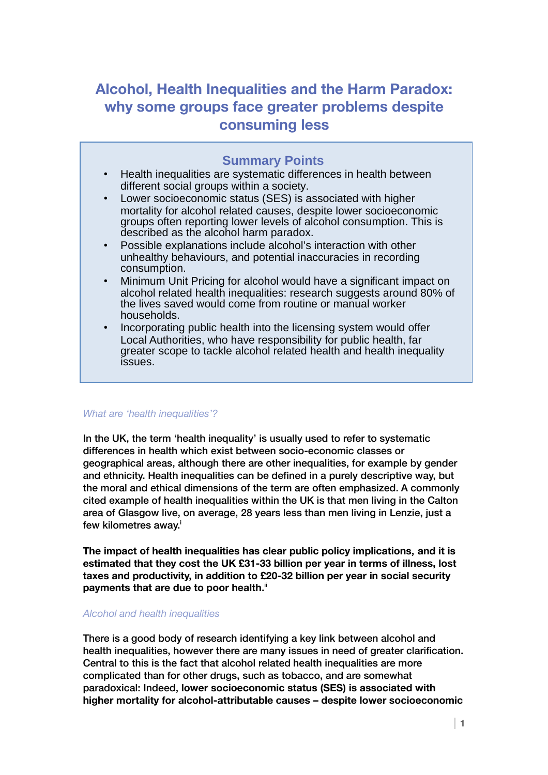# **Alcohol, Health Inequalities and the Harm Paradox: why some groups face greater problems despite consuming less**

## **Summary Points**

- Health inequalities are systematic differences in health between different social groups within a society.
- Lower socioeconomic status (SES) is associated with higher mortality for alcohol related causes, despite lower socioeconomic groups often reporting lower levels of alcohol consumption. This is described as the alcohol harm paradox.
- Possible explanations include alcohol's interaction with other unhealthy behaviours, and potential inaccuracies in recording consumption.
- Minimum Unit Pricing for alcohol would have a significant impact on alcohol related health inequalities: research suggests around 80% of the lives saved would come from routine or manual worker households.
- Incorporating public health into the licensing system would offer Local Authorities, who have responsibility for public health, far greater scope to tackle alcohol related health and health inequality issues.

## *What are 'health inequalities'?*

In the UK, the term 'health inequality' is usually used to refer to systematic differences in health which exist between socio-economic classes or geographical areas, although there are other inequalities, for example by gender and ethnicity. Health inequalities can be defined in a purely descriptive way, but the moral and ethical dimensions of the term are often emphasized. A commonly cited example of health inequalities within the UK is that men living in the Calton area of Glasgow live, on average, 28 years less than men living in Lenzie, just a few k[i](#page-5-0)lometres away.<sup>i</sup>

**The impact of health inequalities has clear public policy implications, and it is estimated that they cost the UK £31-33 billion per year in terms of illness, lost taxes and productivity, in addition to £20-32 billion per year in social security**  payments that are due to poor health.<sup></sup>"

## *Alcohol and health inequalities*

There is a good body of research identifying a key link between alcohol and health inequalities, however there are many issues in need of greater clarification. Central to this is the fact that alcohol related health inequalities are more complicated than for other drugs, such as tobacco, and are somewhat paradoxical: Indeed, **lower socioeconomic status (SES) is associated with higher mortality for alcohol-attributable causes – despite lower socioeconomic**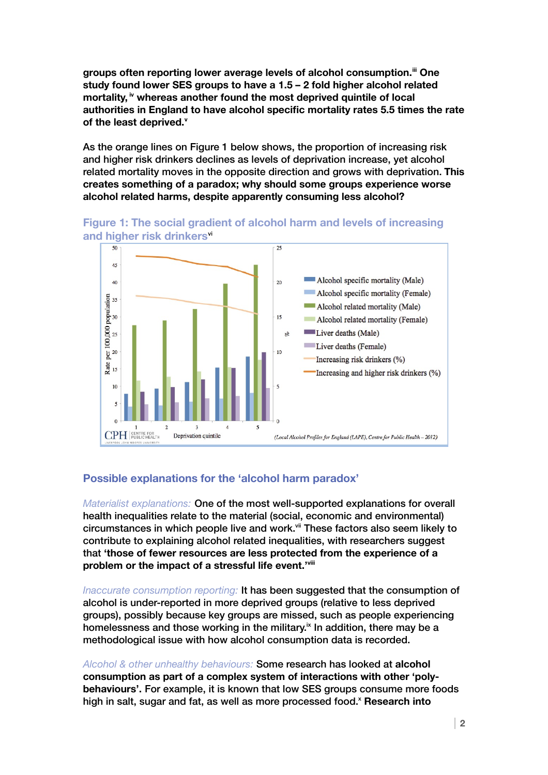**groups often reporting lower average levels of alcohol consumption.[iii](#page-5-2) One study found lower SES groups to have a 1.5 – 2 fold higher alcohol related mortality, [iv](#page-5-3) whereas another found the most deprived quintile of local authorities in England to have alcohol specific mortality rates 5.5 times the rate of the least deprived.[v](#page-5-4)**

As the orange lines on Figure 1 below shows, the proportion of increasing risk and higher risk drinkers declines as levels of deprivation increase, yet alcohol related mortality moves in the opposite direction and grows with deprivation. **This creates something of a paradox; why should some groups experience worse alcohol related harms, despite apparently consuming less alcohol?**



**Figure 1: The social gradient of alcohol harm and levels of increasing and higher risk drinkers**[vi](#page-5-5)

## **Possible explanations for the 'alcohol harm paradox'**

*Materialist explanations:* One of the most well-supported explanations for overall health inequalities relate to the material (social, economic and environmental) circumstances in which people live and work.<sup>[vii](#page-5-6)</sup> These factors also seem likely to contribute to explaining alcohol related inequalities, with researchers suggest that **'those of fewer resources are less protected from the experience of a problem or the impact of a stressful life event.'[viii](#page-5-7)**

*Inaccurate consumption reporting:* It has been suggested that the consumption of alcohol is under-reported in more deprived groups (relative to less deprived groups), possibly because key groups are missed, such as people experiencing homelessness and those working in the military. $\frac{1}{x}$  In addition, there may be a methodological issue with how alcohol consumption data is recorded.

*Alcohol & other unhealthy behaviours:* Some research has looked at **alcohol consumption as part of a complex system of interactions with other 'polybehaviours'.** For example, it is known that low SES groups consume more foods high in salt, sugar and fat, as well as more processed food.<sup>[x](#page-5-9)</sup> Research into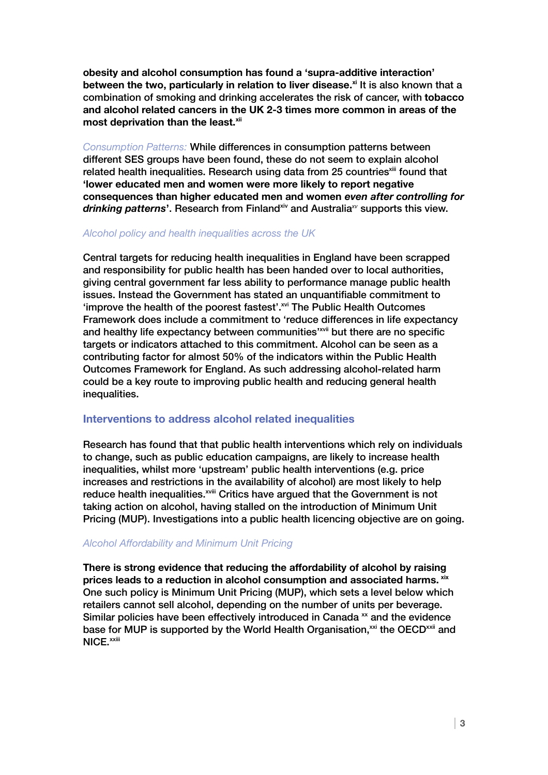**obesity and alcohol consumption has found a 'supra-additive interaction' between the two, particularly in relation to liver disease. [xi](#page-5-10)** It is also known that a combination of smoking and drinking accelerates the risk of cancer, with **tobacco and alcohol related cancers in the UK 2-3 times more common in areas of the most deprivation than the least.[xii](#page-5-11)**

*Consumption Patterns:* While differences in consumption patterns between different SES groups have been found, these do not seem to explain alcohol related health inequalities. Research using data from 25 countries<sup>[xiii](#page-5-12)</sup> found that **'lower educated men and women were more likely to report negative consequences than higher educated men and women** *even after controlling for*  drinking patterns<sup>'</sup>. Research from Finland<sup>[xiv](#page-5-13)</sup> and Australia<sup>[xv](#page-5-14)</sup> supports this view.

### *Alcohol policy and health inequalities across the UK*

Central targets for reducing health inequalities in England have been scrapped and responsibility for public health has been handed over to local authorities, giving central government far less ability to performance manage public health issues. Instead the Government has stated an unquantifiable commitment to 'improve the health of the poorest fastest'.<sup>[xvi](#page-5-15)</sup> The Public Health Outcomes Framework does include a commitment to 'reduce differences in life expectancy and healthy life expectancy between communities'<sup>[xvii](#page-5-16)</sup> but there are no specific targets or indicators attached to this commitment. Alcohol can be seen as a contributing factor for almost 50% of the indicators within the Public Health Outcomes Framework for England. As such addressing alcohol-related harm could be a key route to improving public health and reducing general health inequalities.

## **Interventions to address alcohol related inequalities**

Research has found that that public health interventions which rely on individuals to change, such as public education campaigns, are likely to increase health inequalities, whilst more 'upstream' public health interventions (e.g. price increases and restrictions in the availability of alcohol) are most likely to help reduce health inequalities.<sup>[xviii](#page-5-17)</sup> Critics have argued that the Government is not taking action on alcohol, having stalled on the introduction of Minimum Unit Pricing (MUP). Investigations into a public health licencing objective are on going.

### *Alcohol Affordability and Minimum Unit Pricing*

**There is strong evidence that reducing the affordability of alcohol by raising prices leads to a reduction in alcohol consumption and associated harms. [xix](#page-5-18)** One such policy is Minimum Unit Pricing (MUP), which sets a level below which retailers cannot sell alcohol, depending on the number of units per beverage. Similar policies have been effectively introduced in Canada  $\mathbf{x}$  and the evidence base for MUP is supported by the World Health Organisation, $x^{\text{xi}}$  the OECD $^{x\text{xi}}$  and NICE.<sup>[xxiii](#page-5-22)</sup>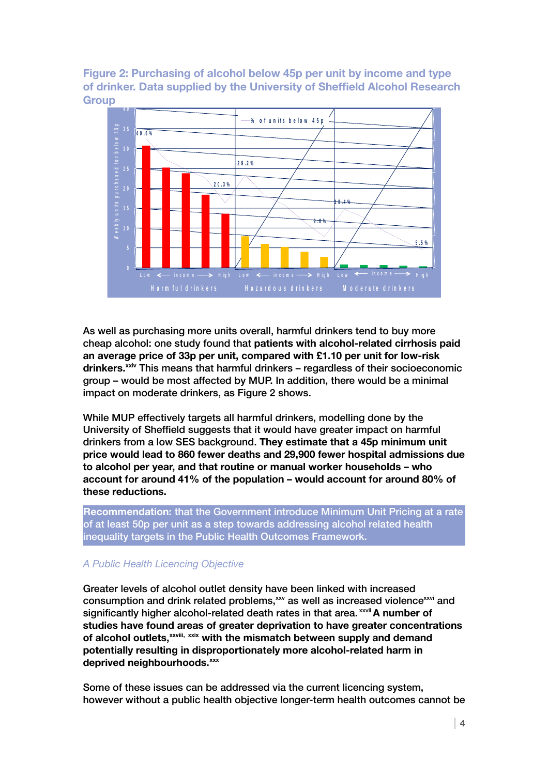**Figure 2: Purchasing of alcohol below 45p per unit by income and type of drinker. Data supplied by the University of Sheffield Alcohol Research Group 4 5 p p e r u n i t**



As well as purchasing more units overall, harmful drinkers tend to buy more cheap alcohol: one study found that **patients with alcohol-related cirrhosis paid an average price of 33p per unit, compared with £1.10 per unit for low-risk drinkers.[xxiv](#page-5-23)** This means that harmful drinkers – regardless of their socioeconomic group – would be most affected by MUP. In addition, there would be a minimal impact on moderate drinkers, as Figure 2 shows.

While MUP effectively targets all harmful drinkers, modelling done by the University of Sheffield suggests that it would have greater impact on harmful drinkers from a low SES background. **They estimate that a 45p minimum unit price would lead to 860 fewer deaths and 29,900 fewer hospital admissions due to alcohol per year, and that routine or manual worker households – who account for around 41% of the population – would account for around 80% of these reductions.**

**Recommendation:** that the Government introduce Minimum Unit Pricing at a rate of at least 50p per unit as a step towards addressing alcohol related health inequality targets in the Public Health Outcomes Framework.

## *A Public Health Licencing Objective*

Greater levels of alcohol outlet density have been linked with increased consumption and drink related problems,<sup>[xxv](#page-5-24)</sup> as well as increased violence<sup>[xxvi](#page-5-25)</sup> and significantly higher alcohol-related death rates in that area.<sup>[xxvii](#page-5-26)</sup> A number of **studies have found areas of greater deprivation to have greater concentrations of alcohol outlets,[xxviii,](#page-5-27) [xxix](#page-5-28) with the mismatch between supply and demand potentially resulting in disproportionately more alcohol-related harm in deprived neighbourhoods.[xxx](#page-6-0)**

Some of these issues can be addressed via the current licencing system, however without a public health objective longer-term health outcomes cannot be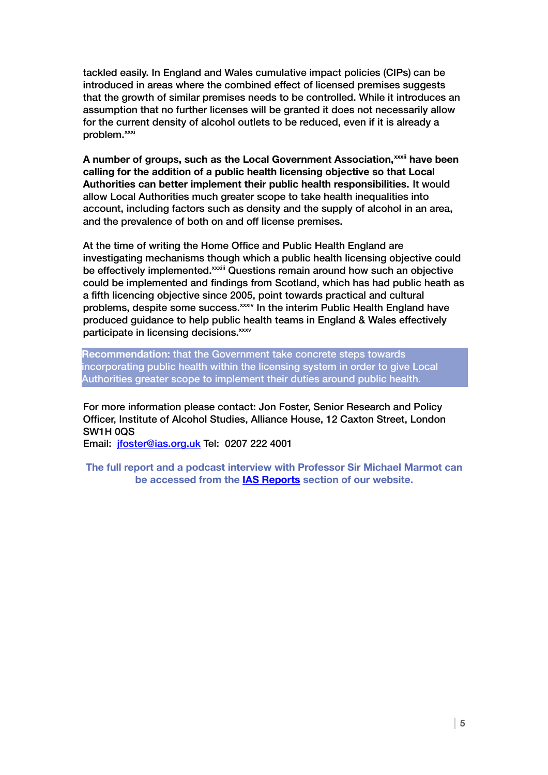tackled easily. In England and Wales cumulative impact policies (CIPs) can be introduced in areas where the combined effect of licensed premises suggests that the growth of similar premises needs to be controlled. While it introduces an assumption that no further licenses will be granted it does not necessarily allow for the current density of alcohol outlets to be reduced, even if it is already a problem.<sup>[xxxi](#page-6-1)</sup>

**A number of groups, such as the Local Government Association,[xxxii](#page-6-2) have been calling for the addition of a public health licensing objective so that Local Authorities can better implement their public health responsibilities.** It would allow Local Authorities much greater scope to take health inequalities into account, including factors such as density and the supply of alcohol in an area, and the prevalence of both on and off license premises.

At the time of writing the Home Office and Public Health England are investigating mechanisms though which a public health licensing objective could be effectively implemented.<sup>[xxxiii](#page-6-3)</sup> Questions remain around how such an objective could be implemented and findings from Scotland, which has had public heath as a fifth licencing objective since 2005, point towards practical and cultural problems, despite some success.<sup>[xxxiv](#page-6-4)</sup> In the interim Public Health England have produced guidance to help public health teams in England & Wales effectively participate in licensing decisions.<sup>[xxxv](#page-6-5)</sup>

**Recommendation:** that the Government take concrete steps towards incorporating public health within the licensing system in order to give Local Authorities greater scope to implement their duties around public health.

For more information please contact: Jon Foster, Senior Research and Policy Officer, Institute of Alcohol Studies, Alliance House, 12 Caxton Street, London SW1H 0QS

Email: [jfoster@ias.org.uk](mailto:jfoster@ias.org.uk) Tel: 0207 222 4001

**The full report and a podcast interview with Professor Sir Michael Marmot can be accessed from the [IAS Reports](http://www.ias.org.uk/What-we-do/IAS-reports.aspx) section of our website.**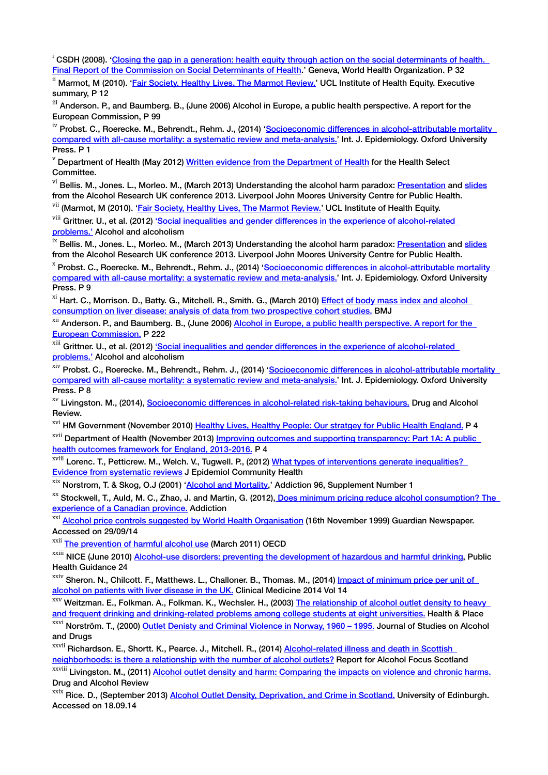<span id="page-5-0"></span> $\rm i$  CSDH (2008). 'Closing the gap in a generation: health equity through action on the social determinants of health. [Final Report of the Commission on Social Determinants of Health.](http://whqlibdoc.who.int/publications/2008/9789241563703_eng.pdf?ua=1)' Geneva, World Health Organization. P 32

<span id="page-5-1"></span><sup>ii</sup> Marmot, M (2010). ['Fair Society, Healthy Lives, The Marmot Review.'](http://www.instituteofhealthequity.org/projects/fair-society-healthy-lives-the-marmot-review/fair-society-healthy-lives-full-report) UCL Institute of Health Equity. Executive summary, P 12

<span id="page-5-2"></span>iii Anderson. P., and Baumberg. B., (June 2006) Alcohol in Europe, a public health perspective. A report for the European Commission, P 99

<span id="page-5-3"></span><sup>iv</sup> Probst. C., Roerecke. M., Behrendt., Rehm. J., (2014) 'Socioeconomic differences in alcohol-attributable mortality [compared with all-cause mortality: a systematic review and meta-analysis.'](http://ije.oxfordjournals.org/content/early/2014/03/10/ije.dyu043.abstract) Int. J. Epidemiology. Oxford University Press. P 1

<span id="page-5-4"></span> $V$  Department of Health (May 2012) [Written evidence from the Department of Health](http://www.parliament.uk/documents/commons-committees/Health/Writtenevidencebyoralwitnesses.pdf) for the Health Select Committee.

<span id="page-5-5"></span><sup>vi</sup> Bellis. M., Jones. L., Morleo. M., (March 2013) Understanding the alcohol harm paradox: [Presentation](http://www.feadonline.org/video587/Sir-Ian-Gilmore-and-Mark-Bellis-on-health-and-inequalities.html) and [slides](http://alcoholresearchuk.org/wp-content/uploads/2013/03/aruk13-bellis.pdf) from the Alcohol Research UK conference 2013. Liverpool John Moores University Centre for Public Health. <sup>vii</sup> (Marmot, M (2010). ['Fair Society, Healthy Lives, The Marmot Review.'](http://www.instituteofhealthequity.org/projects/fair-society-healthy-lives-the-marmot-review/fair-society-healthy-lives-full-report) UCL Institute of Health Equity.

<span id="page-5-7"></span><span id="page-5-6"></span>

viii Grittner. U., et al. (2012) 'Social inequalities and gender differences in the experience of alcohol-related [problems.'](http://alcalc.oxfordjournals.org/content/47/5/597.short) Alcohol and alcoholism

<span id="page-5-8"></span><sup>ix</sup> Bellis. M., Jones. L., Morleo. M., (March 2013) Understanding the alcohol harm paradox: [Presentation](http://www.feadonline.org/video587/Sir-Ian-Gilmore-and-Mark-Bellis-on-health-and-inequalities.html) and [slides](http://alcoholresearchuk.org/wp-content/uploads/2013/03/aruk13-bellis.pdf) from the Alcohol Research UK conference 2013. Liverpool John Moores University Centre for Public Health.

<span id="page-5-9"></span><sup>x</sup> Probst. C., Roerecke. M., Behrendt., Rehm. J., (2014) '<u>Socioeconomic differences in alcohol-attributable mortality</u> [compared with all-cause mortality: a systematic review and meta-analysis.'](http://ije.oxfordjournals.org/content/early/2014/03/10/ije.dyu043.abstract) Int. J. Epidemiology. Oxford University Press. P 9

<span id="page-5-10"></span><sup>xi</sup> Hart. C., Morrison. D., Batty. G., Mitchell. R., Smith. G., (March 2010) Effect of body mass index and alcohol [consumption on liver disease: analysis of data from two prospective cohort studies.](http://www.ncbi.nlm.nih.gov/pmc/articles/PMC2837144/) BMJ

<span id="page-5-11"></span><sup>xii</sup> Anderson. P., and Baumberg. B., (June 2006) Alcohol in Europe, a public health perspective. A report for the [European Commission.](http://www.google.co.uk/url?sa=t&rct=j&q=&esrc=s&source=web&cd=1&cad=rja&uact=8&ved=0CCMQFjAA&url=http%3A%2F%2Fec.europa.eu%2Fhealth%2Farchive%2Fph_determinants%2Flife_style%2Falcohol%2Fdocuments%2Falcohol_europe_en.pdf&ei=dJQyVLHLOpGS7AayooHoDQ&usg=AFQjCNGBBXMYVSOfBh6BKAQywgrR8msazg&sig2=ZYFJ_XEdWO9aKpQcAMMMYQ&bvm=bv.76802529,d.ZGU) P 222

<span id="page-5-12"></span><sup>xiii</sup> Grittner. U., et al. (2012) 'Social inequalities and gender differences in the experience of alcohol-related [problems.'](http://alcalc.oxfordjournals.org/content/47/5/597.short) Alcohol and alcoholism

<span id="page-5-13"></span>xiv Probst. C., Roerecke. M., Behrendt., Rehm. J., (2014) '<u>Socioeconomic differences in alcohol-attributable mortality</u> [compared with all-cause mortality: a systematic review and meta-analysis.'](http://ije.oxfordjournals.org/content/early/2014/03/10/ije.dyu043.abstract) Int. J. Epidemiology. Oxford University Press. P 8

<span id="page-5-14"></span><sup>xv</sup> Livingston. M., (2014), [Socioeconomic differences in alcohol-related risk-taking behaviours.](http://onlinelibrary.wiley.com/doi/10.1111/dar.12202/abstract) Drug and Alcohol Review.

<span id="page-5-15"></span><sup>xvi</sup> HM Government (November 2010) [Healthy Lives, Healthy People: Our stratgey for Public Health England.](https://www.gov.uk/government/uploads/system/uploads/attachment_data/file/216096/dh_127424.pdf) P 4

<span id="page-5-16"></span><sup>xvii</sup> Department of Health (November 2013) Improving outcomes and supporting transparency: Part 1A: A public [health outcomes framework for England, 2013-2016.](https://www.gov.uk/government/uploads/system/uploads/attachment_data/file/263658/2901502_PHOF_Improving_Outcomes_PT1A_v1_1.pdf) P 4

<span id="page-5-17"></span>xviii Lorenc. T., Petticrew. M., Welch. V., Tugwell. P., (2012) What types of interventions generate inequalities? [Evidence from systematic reviews](http://jech.bmj.com/content/67/2/190.short) J Epidemiol Community Health

<span id="page-5-18"></span><sup>xix</sup> Norstrom, T. & Skog, O.J (2001) ['Alcohol and Mortality,](http://www.ncbi.nlm.nih.gov/pubmed/11228078)' Addiction 96, Supplement Number 1

<span id="page-5-19"></span><sup>xx</sup> Stockwell, T., Auld, M. C., Zhao, J. and Martin, G. (2012), Does minimum pricing reduce alcohol consumption? The [experience of a Canadian province.](http://www.ncbi.nlm.nih.gov/pubmed/22168350) Addiction

<span id="page-5-20"></span><sup>xxi</sup> [Alcohol price controls suggested by World Health Organisation](http://www.theguardian.com/society/2009/nov/16/alcohol-minimum-price-controls) (16th November 1999) Guardian Newspaper. Accessed on 29/09/14

<span id="page-5-21"></span><sup>xxii</sup> [The prevention of harmful alcohol use](http://www.oecd.org/officialdocuments/publicdisplaydocumentpdf/?cote=DELSA/HEA/EP(2011)1&docLanguage=En) (March 2011) OECD

<span id="page-5-22"></span><sup>xxiii</sup> NICE (June 2010) [Alcohol-use disorders: preventing the development of hazardous and harmful drinking,](http://www.nice.org.uk/guidance/PH24) Public Health Guidance 24

<span id="page-5-23"></span><sup>xxiv</sup> Sheron. N., Chilcott. F., Matthews. L., Challoner. B., Thomas. M., (2014) Impact of minimum price per unit of [alcohol on patients with liver disease in the UK.](http://www.clinmed.rcpjournal.org/content/14/4/396) Clinical Medicine 2014 Vol 14

<span id="page-5-24"></span><sup>xxv</sup> Weitzman. E., Folkman. A., Folkman. K., Wechsler. H., (2003) The relationship of alcohol outlet density to heavy [and frequent drinking and drinking-related problems among college students at eight universities.](http://archive.sph.harvard.edu/cas/Documents/GIS/GISstudy1-1.pdf) Health & Place

<span id="page-5-25"></span>xxvi Norström. T., (2000) [Outlet Denisty and Criminal Violence in Norway, 1960 – 1995.](http://www.jsad.com/jsad/article/Outlet_Density_and_Criminal_Violence_in_Norway_19601995/834.html) Journal of Studies on Alcohol and Drugs

<span id="page-5-26"></span>xxvii Richardson. E., Shortt. K., Pearce. J., Mitchell. R., (2014) Alcohol-related illness and death in Scottish [neighborhoods: is there a relationship with the number of alcohol outlets?](http://tollcrosscc.org.uk/wp-content/uploads/2014/10/cresh-research-alcohol-outlets-and-health.pdf/) Report for Alcohol Focus Scotland

<span id="page-5-27"></span>xxviii Livingston. M., (2011) [Alcohol outlet density and harm: Comparing the impacts on violence and chronic harms.](http://tollcrosscc.org.uk/wp-content/uploads/2014/10/cresh-research-alcohol-outlets-and-health.pdf) Drug and Alcohol Review

<span id="page-5-28"></span><sup>xxix</sup> Rice. D., (September 2013) **Alcohol Outlet Density, Deprivation, and Crime in Scotland.** University of Edinburgh. Accessed on 18.09.14